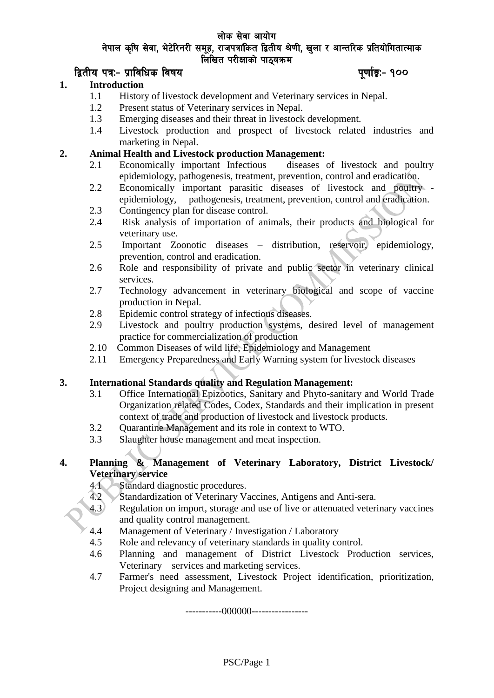#### लोक सेवा आयोग नेपाल कृषि सेवा, भेटेरिनरी समुह, राजपत्रांकित द्वितीय श्रेणी, खुला र आन्तरिक प्रतियोगितात्माक लिखित परीक्षाको पाठयक्रम

## later and the set of the set of the set of the set of the set of the set of the set of the set of the set of t

#### **1. Introduction**

- 1.1 History of livestock development and Veterinary services in Nepal.
- 1.2 Present status of Veterinary services in Nepal.
- 1.3 Emerging diseases and their threat in livestock development.
- 1.4 Livestock production and prospect of livestock related industries and marketing in Nepal.

#### **2. Animal Health and Livestock production Management:**

- 2.1 Economically important Infectious diseases of livestock and poultry epidemiology, pathogenesis, treatment, prevention, control and eradication.
- 2.2 Economically important parasitic diseases of livestock and poultry epidemiology, pathogenesis, treatment, prevention, control and eradication.
- 2.3 Contingency plan for disease control.
- 2.4 Risk analysis of importation of animals, their products and biological for veterinary use.
- 2.5 Important Zoonotic diseases distribution, reservoir, epidemiology, prevention, control and eradication.
- 2.6 Role and responsibility of private and public sector in veterinary clinical services.
- 2.7 Technology advancement in veterinary biological and scope of vaccine production in Nepal.
- 2.8 Epidemic control strategy of infectious diseases.
- 2.9 Livestock and poultry production systems, desired level of management practice for commercialization of production
- 2.10 Common Diseases of wild life, Epidemiology and Management
- 2.11 Emergency Preparedness and Early Warning system for livestock diseases

#### **3. International Standards quality and Regulation Management:**

- 3.1 Office International Epizootics, Sanitary and Phyto-sanitary and World Trade Organization related Codes, Codex, Standards and their implication in present context of trade and production of livestock and livestock products.
- 3.2 Quarantine Management and its role in context to WTO.
- 3.3 Slaughter house management and meat inspection.

# **4. Planning & Management of Veterinary Laboratory, District Livestock/ Veterinary service**

- 
- 4.1 Standard diagnostic procedures.<br>4.2 Standardization of Veterinary Va Standardization of Veterinary Vaccines, Antigens and Anti-sera.
- 4.3 Regulation on import, storage and use of live or attenuated veterinary vaccines and quality control management.
- 4.4 Management of Veterinary / Investigation / Laboratory
- 4.5 Role and relevancy of veterinary standards in quality control.
- 4.6 Planning and management of District Livestock Production services, Veterinary services and marketing services.
- 4.7 Farmer's need assessment, Livestock Project identification, prioritization, Project designing and Management.

-----------000000-----------------